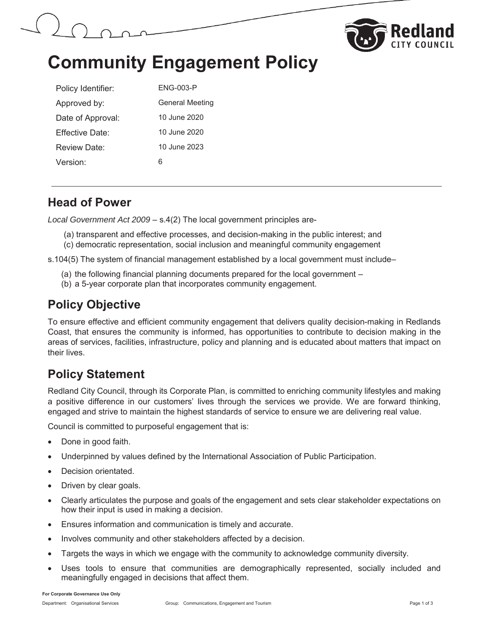



# **Community Engagement Policy**

| Policy Identifier: | ENG-003-P              |
|--------------------|------------------------|
| Approved by:       | <b>General Meeting</b> |
| Date of Approval:  | 10 June 2020           |
| Fffective Date:    | 10 June 2020           |
| Review Date:       | 10 June 2023           |
| Version:           | ჩ                      |

#### **Head of Power**

*Local Government Act 2009 –* s.4(2) The local government principles are-

(a) transparent and effective processes, and decision-making in the public interest; and (c) democratic representation, social inclusion and meaningful community engagement

s.104(5) The system of financial management established by a local government must include–

- (a) the following financial planning documents prepared for the local government –
- (b) a 5-year corporate plan that incorporates community engagement.

### **Policy Objective**

To ensure effective and efficient community engagement that delivers quality decision-making in Redlands Coast, that ensures the community is informed, has opportunities to contribute to decision making in the areas of services, facilities, infrastructure, policy and planning and is educated about matters that impact on their lives.

# **Policy Statement**

Redland City Council, through its Corporate Plan, is committed to enriching community lifestyles and making a positive difference in our customers' lives through the services we provide. We are forward thinking, engaged and strive to maintain the highest standards of service to ensure we are delivering real value.

Council is committed to purposeful engagement that is:

- Done in good faith.
- Underpinned by values defined by the International Association of Public Participation.
- Decision orientated.
- Driven by clear goals.
- Clearly articulates the purpose and goals of the engagement and sets clear stakeholder expectations on how their input is used in making a decision.
- **Ensures information and communication is timely and accurate.**
- Involves community and other stakeholders affected by a decision.
- Targets the ways in which we engage with the community to acknowledge community diversity.
- Uses tools to ensure that communities are demographically represented, socially included and meaningfully engaged in decisions that affect them.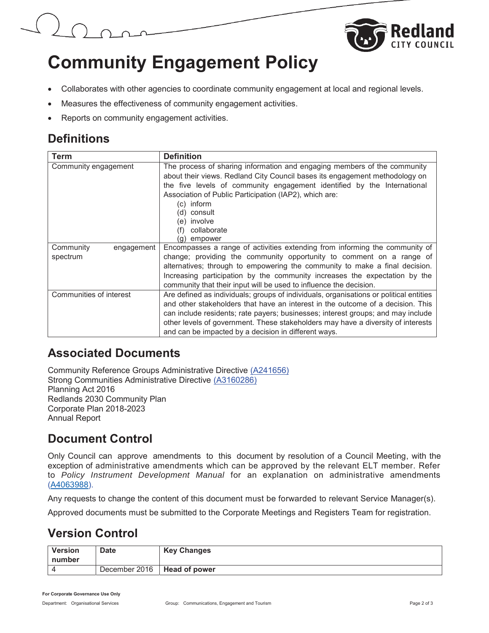



# **Community Engagement Policy**

- Collaborates with other agencies to coordinate community engagement at local and regional levels.
- Measures the effectiveness of community engagement activities.
- Reports on community engagement activities.

# **Definitions**

| Term                    | <b>Definition</b>                                                                      |  |
|-------------------------|----------------------------------------------------------------------------------------|--|
| Community engagement    | The process of sharing information and engaging members of the community               |  |
|                         | about their views. Redland City Council bases its engagement methodology on            |  |
|                         | the five levels of community engagement identified by the International                |  |
|                         | Association of Public Participation (IAP2), which are:                                 |  |
|                         | (c) inform                                                                             |  |
|                         | (d) consult                                                                            |  |
|                         | (e) involve                                                                            |  |
|                         | collaborate                                                                            |  |
|                         | empower                                                                                |  |
| Community<br>engagement | Encompasses a range of activities extending from informing the community of            |  |
| spectrum                | change; providing the community opportunity to comment on a range of                   |  |
|                         | alternatives; through to empowering the community to make a final decision.            |  |
|                         | Increasing participation by the community increases the expectation by the             |  |
|                         | community that their input will be used to influence the decision.                     |  |
| Communities of interest | Are defined as individuals; groups of individuals, organisations or political entities |  |
|                         | and other stakeholders that have an interest in the outcome of a decision. This        |  |
|                         | can include residents; rate payers; businesses; interest groups; and may include       |  |
|                         | other levels of government. These stakeholders may have a diversity of interests       |  |
|                         | and can be impacted by a decision in different ways.                                   |  |

## **Associated Documents**

Community Reference Groups Administrative Directive (A241656) Strong Communities Administrative Directive (A3160286) Planning Act 2016 Redlands 2030 Community Plan Corporate Plan 2018-2023 Annual Report

# **Document Control**

Only Council can approve amendments to this document by resolution of a Council Meeting, with the exception of administrative amendments which can be approved by the relevant ELT member. Refer to *Policy Instrument Development Manual* for an explanation on administrative amendments (A4063988).

Any requests to change the content of this document must be forwarded to relevant Service Manager(s).

Approved documents must be submitted to the Corporate Meetings and Registers Team for registration.

## **Version Control**

| <b>Version</b><br>number | <b>Date</b>                   | <b>Key Changes</b> |
|--------------------------|-------------------------------|--------------------|
|                          | December 2016   Head of power |                    |